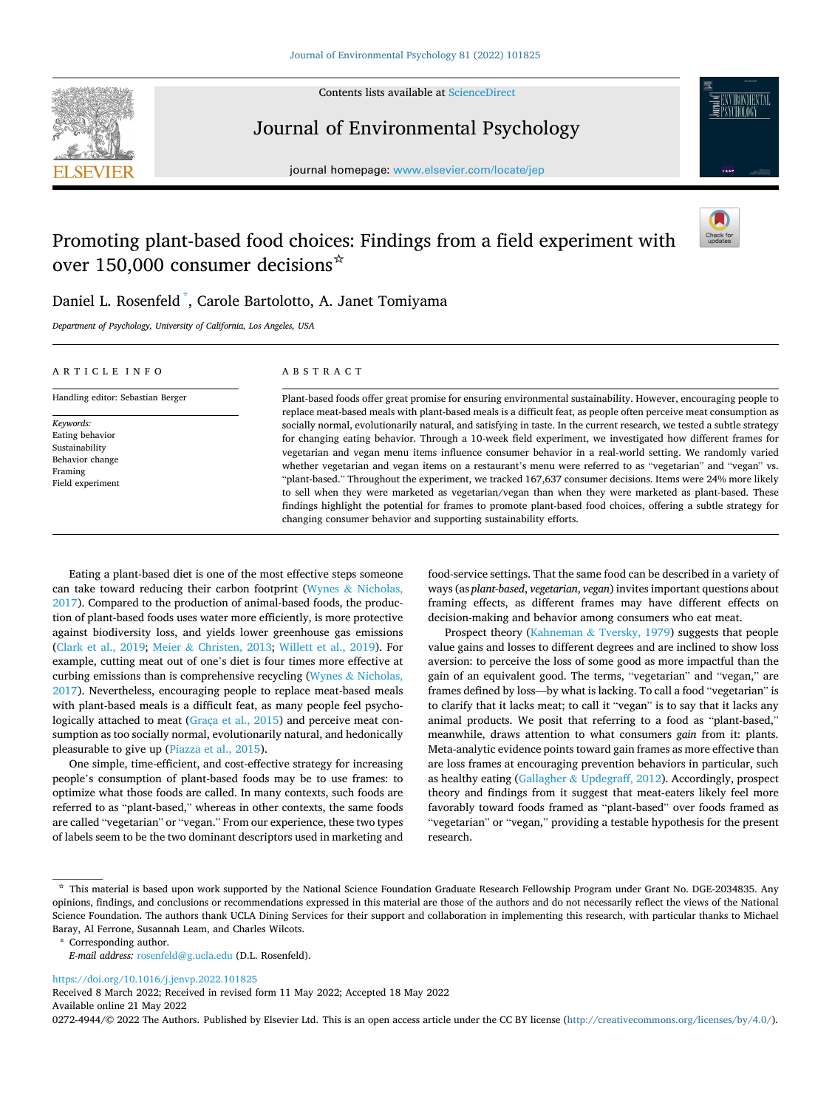

Contents lists available at [ScienceDirect](www.sciencedirect.com/science/journal/02724944)

Journal of Environmental Psychology



journal homepage: [www.elsevier.com/locate/jep](https://www.elsevier.com/locate/jep)

# Promoting plant-based food choices: Findings from a field experiment with over 150,000 consumer decisions☆



## Daniel L. Rosenfeld \* , Carole Bartolotto, A. Janet Tomiyama

*Department of Psychology, University of California, Los Angeles, USA* 

| ARTICLE INFO                                                                                     | A B S T R A C T                                                                                                                                                                                                                                                                                                                                                                                                                                                                                                                                                                                                                                                                                                                                                                                                                                                                                                                                                                                                                                                                                                        |
|--------------------------------------------------------------------------------------------------|------------------------------------------------------------------------------------------------------------------------------------------------------------------------------------------------------------------------------------------------------------------------------------------------------------------------------------------------------------------------------------------------------------------------------------------------------------------------------------------------------------------------------------------------------------------------------------------------------------------------------------------------------------------------------------------------------------------------------------------------------------------------------------------------------------------------------------------------------------------------------------------------------------------------------------------------------------------------------------------------------------------------------------------------------------------------------------------------------------------------|
| Handling editor: Sebastian Berger                                                                | Plant-based foods offer great promise for ensuring environmental sustainability. However, encouraging people to<br>replace meat-based meals with plant-based meals is a difficult feat, as people often perceive meat consumption as<br>socially normal, evolutionarily natural, and satisfying in taste. In the current research, we tested a subtle strategy<br>for changing eating behavior. Through a 10-week field experiment, we investigated how different frames for<br>vegetarian and vegan menu items influence consumer behavior in a real-world setting. We randomly varied<br>whether vegetarian and vegan items on a restaurant's menu were referred to as "vegetarian" and "vegan" vs.<br>"plant-based." Throughout the experiment, we tracked 167,637 consumer decisions. Items were 24% more likely<br>to sell when they were marketed as vegetarian/vegan than when they were marketed as plant-based. These<br>findings highlight the potential for frames to promote plant-based food choices, offering a subtle strategy for<br>changing consumer behavior and supporting sustainability efforts. |
| Keywords:<br>Eating behavior<br>Sustainability<br>Behavior change<br>Framing<br>Field experiment |                                                                                                                                                                                                                                                                                                                                                                                                                                                                                                                                                                                                                                                                                                                                                                                                                                                                                                                                                                                                                                                                                                                        |

Eating a plant-based diet is one of the most effective steps someone can take toward reducing their carbon footprint (Wynes & [Nicholas,](#page-3-0)  [2017\)](#page-3-0). Compared to the production of animal-based foods, the production of plant-based foods uses water more efficiently, is more protective against biodiversity loss, and yields lower greenhouse gas emissions ([Clark et al., 2019](#page-3-0); Meier & [Christen, 2013;](#page-3-0) [Willett et al., 2019\)](#page-3-0). For example, cutting meat out of one's diet is four times more effective at curbing emissions than is comprehensive recycling (Wynes & [Nicholas,](#page-3-0)  [2017\)](#page-3-0). Nevertheless, encouraging people to replace meat-based meals with plant-based meals is a difficult feat, as many people feel psycho-logically attached to meat ([Graça et al., 2015\)](#page-3-0) and perceive meat consumption as too socially normal, evolutionarily natural, and hedonically pleasurable to give up [\(Piazza et al., 2015](#page-3-0)).

One simple, time-efficient, and cost-effective strategy for increasing people's consumption of plant-based foods may be to use frames: to optimize what those foods are called. In many contexts, such foods are referred to as "plant-based," whereas in other contexts, the same foods are called "vegetarian" or "vegan." From our experience, these two types of labels seem to be the two dominant descriptors used in marketing and food-service settings. That the same food can be described in a variety of ways (as *plant-based*, *vegetarian*, *vegan*) invites important questions about framing effects, as different frames may have different effects on decision-making and behavior among consumers who eat meat.

Prospect theory (Kahneman & [Tversky, 1979\)](#page-3-0) suggests that people value gains and losses to different degrees and are inclined to show loss aversion: to perceive the loss of some good as more impactful than the gain of an equivalent good. The terms, "vegetarian" and "vegan," are frames defined by loss—by what is lacking. To call a food "vegetarian" is to clarify that it lacks meat; to call it "vegan" is to say that it lacks any animal products. We posit that referring to a food as "plant-based," meanwhile, draws attention to what consumers *gain* from it: plants. Meta-analytic evidence points toward gain frames as more effective than are loss frames at encouraging prevention behaviors in particular, such as healthy eating (Gallagher & [Updegraff, 2012\)](#page-3-0). Accordingly, prospect theory and findings from it suggest that meat-eaters likely feel more favorably toward foods framed as "plant-based" over foods framed as "vegetarian" or "vegan," providing a testable hypothesis for the present research.

<https://doi.org/10.1016/j.jenvp.2022.101825>

Available online 21 May 2022 Received 8 March 2022; Received in revised form 11 May 2022; Accepted 18 May 2022

0272-4944/© 2022 The Authors. Published by Elsevier Ltd. This is an open access article under the CC BY license [\(http://creativecommons.org/licenses/by/4.0/\)](http://creativecommons.org/licenses/by/4.0/).

<sup>☆</sup> This material is based upon work supported by the National Science Foundation Graduate Research Fellowship Program under Grant No. DGE-2034835. Any opinions, findings, and conclusions or recommendations expressed in this material are those of the authors and do not necessarily reflect the views of the National Science Foundation. The authors thank UCLA Dining Services for their support and collaboration in implementing this research, with particular thanks to Michael Baray, Al Ferrone, Susannah Leam, and Charles Wilcots.

<sup>\*</sup> Corresponding author.

*E-mail address:* [rosenfeld@g.ucla.edu](mailto:rosenfeld@g.ucla.edu) (D.L. Rosenfeld).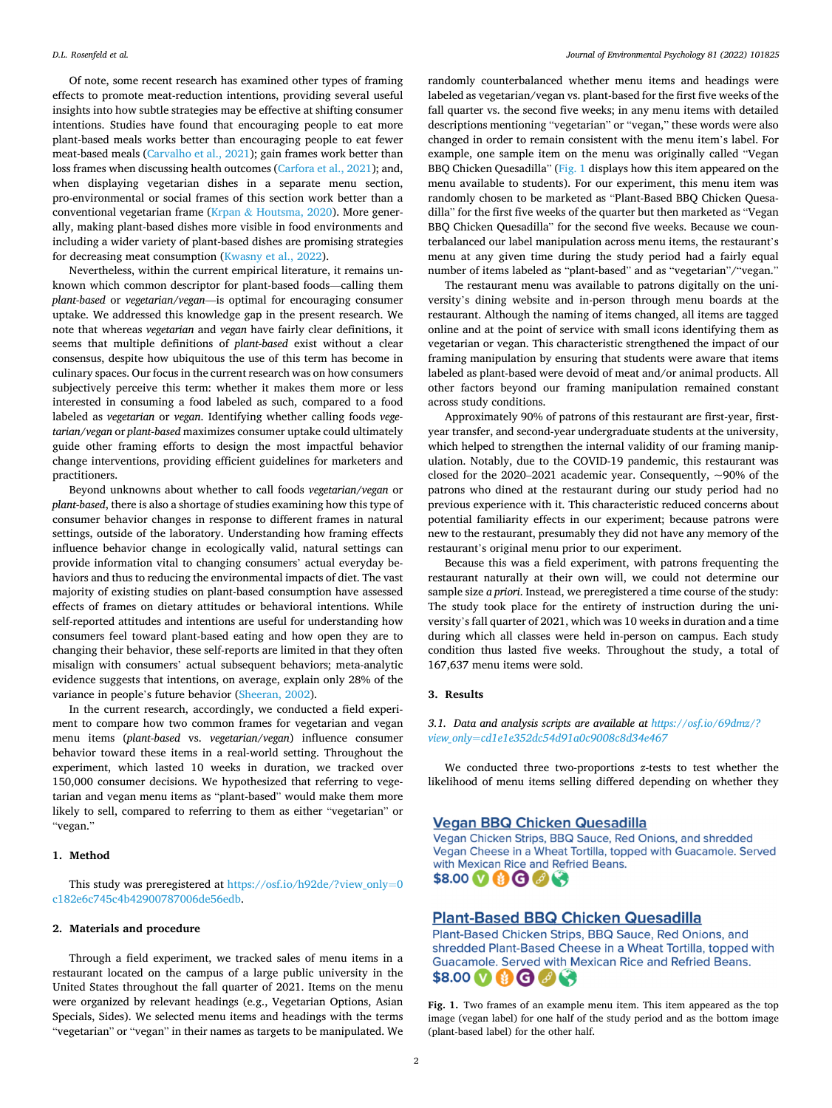Of note, some recent research has examined other types of framing effects to promote meat-reduction intentions, providing several useful insights into how subtle strategies may be effective at shifting consumer intentions. Studies have found that encouraging people to eat more plant-based meals works better than encouraging people to eat fewer meat-based meals [\(Carvalho et al., 2021](#page-3-0)); gain frames work better than loss frames when discussing health outcomes [\(Carfora et al., 2021](#page-3-0)); and, when displaying vegetarian dishes in a separate menu section, pro-environmental or social frames of this section work better than a conventional vegetarian frame (Krpan & [Houtsma, 2020\)](#page-3-0). More generally, making plant-based dishes more visible in food environments and including a wider variety of plant-based dishes are promising strategies for decreasing meat consumption ([Kwasny et al., 2022\)](#page-3-0).

Nevertheless, within the current empirical literature, it remains unknown which common descriptor for plant-based foods—calling them *plant-based* or *vegetarian*/*vegan*—is optimal for encouraging consumer uptake. We addressed this knowledge gap in the present research. We note that whereas *vegetarian* and *vegan* have fairly clear definitions, it seems that multiple definitions of *plant-based* exist without a clear consensus, despite how ubiquitous the use of this term has become in culinary spaces. Our focus in the current research was on how consumers subjectively perceive this term: whether it makes them more or less interested in consuming a food labeled as such, compared to a food labeled as *vegetarian* or *vegan*. Identifying whether calling foods *vegetarian*/*vegan* or *plant-based* maximizes consumer uptake could ultimately guide other framing efforts to design the most impactful behavior change interventions, providing efficient guidelines for marketers and practitioners.

Beyond unknowns about whether to call foods *vegetarian*/*vegan* or *plant-based*, there is also a shortage of studies examining how this type of consumer behavior changes in response to different frames in natural settings, outside of the laboratory. Understanding how framing effects influence behavior change in ecologically valid, natural settings can provide information vital to changing consumers' actual everyday behaviors and thus to reducing the environmental impacts of diet. The vast majority of existing studies on plant-based consumption have assessed effects of frames on dietary attitudes or behavioral intentions. While self-reported attitudes and intentions are useful for understanding how consumers feel toward plant-based eating and how open they are to changing their behavior, these self-reports are limited in that they often misalign with consumers' actual subsequent behaviors; meta-analytic evidence suggests that intentions, on average, explain only 28% of the variance in people's future behavior [\(Sheeran, 2002\)](#page-3-0).

In the current research, accordingly, we conducted a field experiment to compare how two common frames for vegetarian and vegan menu items (*plant-based* vs. *vegetarian*/*vegan*) influence consumer behavior toward these items in a real-world setting. Throughout the experiment, which lasted 10 weeks in duration, we tracked over 150,000 consumer decisions. We hypothesized that referring to vegetarian and vegan menu items as "plant-based" would make them more likely to sell, compared to referring to them as either "vegetarian" or "vegan."

### **1. Method**

This study was preregistered at [https://osf.io/h92de/?view\\_only](https://osf.io/h92de/?view_only=0c182e6c745c4b42900787006de56edb)=0 [c182e6c745c4b42900787006de56edb.](https://osf.io/h92de/?view_only=0c182e6c745c4b42900787006de56edb)

#### **2. Materials and procedure**

Through a field experiment, we tracked sales of menu items in a restaurant located on the campus of a large public university in the United States throughout the fall quarter of 2021. Items on the menu were organized by relevant headings (e.g., Vegetarian Options, Asian Specials, Sides). We selected menu items and headings with the terms "vegetarian" or "vegan" in their names as targets to be manipulated. We randomly counterbalanced whether menu items and headings were labeled as vegetarian/vegan vs. plant-based for the first five weeks of the fall quarter vs. the second five weeks; in any menu items with detailed descriptions mentioning "vegetarian" or "vegan," these words were also changed in order to remain consistent with the menu item's label. For example, one sample item on the menu was originally called "Vegan BBQ Chicken Quesadilla" (Fig. 1 displays how this item appeared on the menu available to students). For our experiment, this menu item was randomly chosen to be marketed as "Plant-Based BBQ Chicken Quesadilla" for the first five weeks of the quarter but then marketed as "Vegan BBQ Chicken Quesadilla" for the second five weeks. Because we counterbalanced our label manipulation across menu items, the restaurant's menu at any given time during the study period had a fairly equal number of items labeled as "plant-based" and as "vegetarian"/"vegan."

The restaurant menu was available to patrons digitally on the university's dining website and in-person through menu boards at the restaurant. Although the naming of items changed, all items are tagged online and at the point of service with small icons identifying them as vegetarian or vegan. This characteristic strengthened the impact of our framing manipulation by ensuring that students were aware that items labeled as plant-based were devoid of meat and/or animal products. All other factors beyond our framing manipulation remained constant across study conditions.

Approximately 90% of patrons of this restaurant are first-year, firstyear transfer, and second-year undergraduate students at the university, which helped to strengthen the internal validity of our framing manipulation. Notably, due to the COVID-19 pandemic, this restaurant was closed for the 2020–2021 academic year. Consequently,  $\sim$ 90% of the patrons who dined at the restaurant during our study period had no previous experience with it. This characteristic reduced concerns about potential familiarity effects in our experiment; because patrons were new to the restaurant, presumably they did not have any memory of the restaurant's original menu prior to our experiment.

Because this was a field experiment, with patrons frequenting the restaurant naturally at their own will, we could not determine our sample size *a priori*. Instead, we preregistered a time course of the study: The study took place for the entirety of instruction during the university's fall quarter of 2021, which was 10 weeks in duration and a time during which all classes were held in-person on campus. Each study condition thus lasted five weeks. Throughout the study, a total of 167,637 menu items were sold.

### **3. Results**

### *3.1. Data and analysis scripts are available at [https://osf.io/69dmz/?](https://osf.io/69dmz/?view_only=cd1e1e352dc54d91a0c9008c8d34e467)  view\_only*=*[cd1e1e352dc54d91a0c9008c8d34e467](https://osf.io/69dmz/?view_only=cd1e1e352dc54d91a0c9008c8d34e467)*

We conducted three two-proportions *z*-tests to test whether the likelihood of menu items selling differed depending on whether they

### **Vegan BBQ Chicken Quesadilla**

Vegan Chicken Strips, BBQ Sauce, Red Onions, and shredded Vegan Cheese in a Wheat Tortilla, topped with Guacamole. Served with Mexican Rice and Refried Beans. \$8.00 V O G & G

### **Plant-Based BBQ Chicken Quesadilla**

Plant-Based Chicken Strips, BBQ Sauce, Red Onions, and shredded Plant-Based Cheese in a Wheat Tortilla, topped with Guacamole. Served with Mexican Rice and Refried Beans. \$8.00 V D G &

**Fig. 1.** Two frames of an example menu item. This item appeared as the top image (vegan label) for one half of the study period and as the bottom image (plant-based label) for the other half.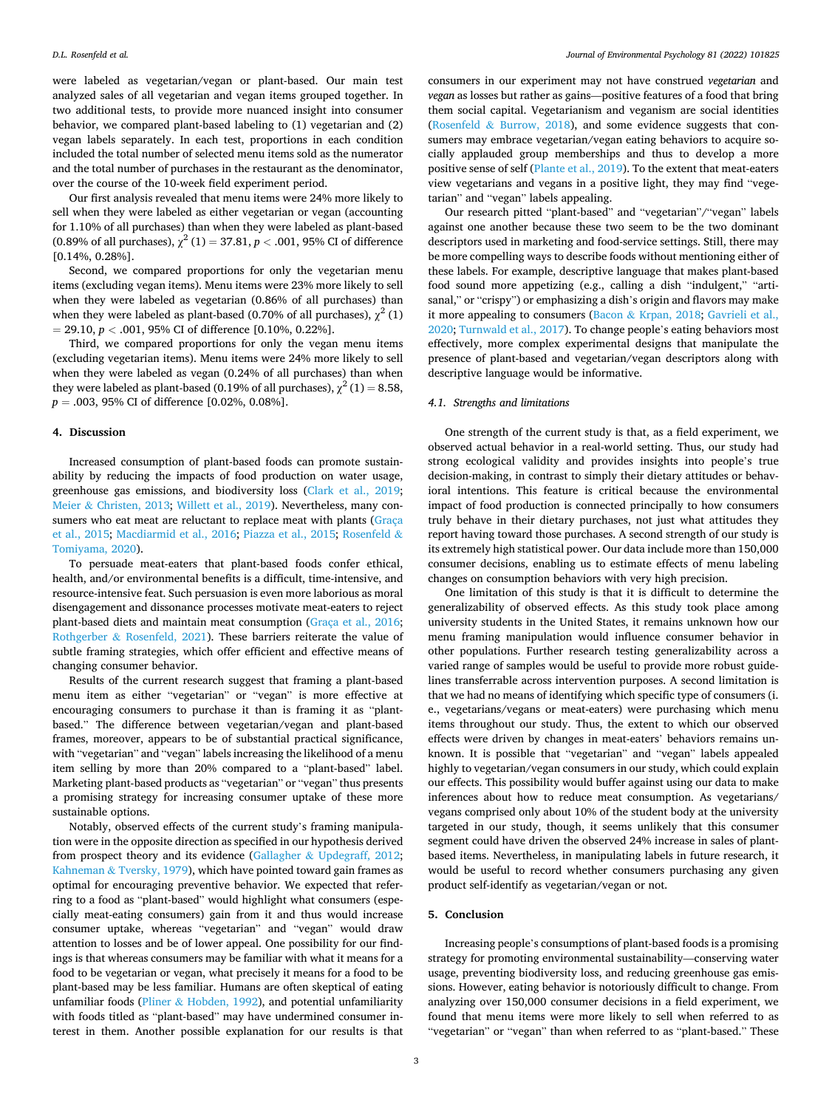were labeled as vegetarian/vegan or plant-based. Our main test analyzed sales of all vegetarian and vegan items grouped together. In two additional tests, to provide more nuanced insight into consumer behavior, we compared plant-based labeling to (1) vegetarian and (2) vegan labels separately. In each test, proportions in each condition included the total number of selected menu items sold as the numerator and the total number of purchases in the restaurant as the denominator, over the course of the 10-week field experiment period.

Our first analysis revealed that menu items were 24% more likely to sell when they were labeled as either vegetarian or vegan (accounting for 1.10% of all purchases) than when they were labeled as plant-based (0.89% of all purchases),  $\chi^2$  (1) = 37.81, *p* < .001, 95% CI of difference [0.14%, 0.28%].

Second, we compared proportions for only the vegetarian menu items (excluding vegan items). Menu items were 23% more likely to sell when they were labeled as vegetarian (0.86% of all purchases) than when they were labeled as plant-based (0.70% of all purchases),  $\chi^2$  (1)  $= 29.10, p < .001, 95\%$  CI of difference [0.10%, 0.22%].

Third, we compared proportions for only the vegan menu items (excluding vegetarian items). Menu items were 24% more likely to sell when they were labeled as vegan (0.24% of all purchases) than when they were labeled as plant-based (0.19% of all purchases),  $\gamma^2$  (1) = 8.58, *p* = .003, 95% CI of difference [0.02%, 0.08%].

### **4. Discussion**

Increased consumption of plant-based foods can promote sustainability by reducing the impacts of food production on water usage, greenhouse gas emissions, and biodiversity loss [\(Clark et al., 2019](#page-3-0); Meier & [Christen, 2013;](#page-3-0) [Willett et al., 2019\)](#page-3-0). Nevertheless, many consumers who eat meat are reluctant to replace meat with plants (Graça [et al., 2015](#page-3-0); [Macdiarmid et al., 2016](#page-3-0); [Piazza et al., 2015](#page-3-0); [Rosenfeld](#page-3-0) & [Tomiyama, 2020\)](#page-3-0).

To persuade meat-eaters that plant-based foods confer ethical, health, and/or environmental benefits is a difficult, time-intensive, and resource-intensive feat. Such persuasion is even more laborious as moral disengagement and dissonance processes motivate meat-eaters to reject plant-based diets and maintain meat consumption [\(Graça et al., 2016](#page-3-0); Rothgerber & [Rosenfeld, 2021](#page-3-0)). These barriers reiterate the value of subtle framing strategies, which offer efficient and effective means of changing consumer behavior.

Results of the current research suggest that framing a plant-based menu item as either "vegetarian" or "vegan" is more effective at encouraging consumers to purchase it than is framing it as "plantbased." The difference between vegetarian/vegan and plant-based frames, moreover, appears to be of substantial practical significance, with "vegetarian" and "vegan" labels increasing the likelihood of a menu item selling by more than 20% compared to a "plant-based" label. Marketing plant-based products as "vegetarian" or "vegan" thus presents a promising strategy for increasing consumer uptake of these more sustainable options.

Notably, observed effects of the current study's framing manipulation were in the opposite direction as specified in our hypothesis derived from prospect theory and its evidence (Gallagher & [Updegraff, 2012](#page-3-0); Kahneman & [Tversky, 1979\)](#page-3-0), which have pointed toward gain frames as optimal for encouraging preventive behavior. We expected that referring to a food as "plant-based" would highlight what consumers (especially meat-eating consumers) gain from it and thus would increase consumer uptake, whereas "vegetarian" and "vegan" would draw attention to losses and be of lower appeal. One possibility for our findings is that whereas consumers may be familiar with what it means for a food to be vegetarian or vegan, what precisely it means for a food to be plant-based may be less familiar. Humans are often skeptical of eating unfamiliar foods (Pliner & [Hobden, 1992\)](#page-3-0), and potential unfamiliarity with foods titled as "plant-based" may have undermined consumer interest in them. Another possible explanation for our results is that consumers in our experiment may not have construed *vegetarian* and *vegan* as losses but rather as gains—positive features of a food that bring them social capital. Vegetarianism and veganism are social identities (Rosenfeld & [Burrow, 2018](#page-3-0)), and some evidence suggests that consumers may embrace vegetarian/vegan eating behaviors to acquire socially applauded group memberships and thus to develop a more positive sense of self ([Plante et al., 2019\)](#page-3-0). To the extent that meat-eaters view vegetarians and vegans in a positive light, they may find "vegetarian" and "vegan" labels appealing.

Our research pitted "plant-based" and "vegetarian"/"vegan" labels against one another because these two seem to be the two dominant descriptors used in marketing and food-service settings. Still, there may be more compelling ways to describe foods without mentioning either of these labels. For example, descriptive language that makes plant-based food sound more appetizing (e.g., calling a dish "indulgent," "artisanal," or "crispy") or emphasizing a dish's origin and flavors may make it more appealing to consumers (Bacon & [Krpan, 2018;](#page-3-0) [Gavrieli et al.,](#page-3-0)  [2020; Turnwald et al., 2017](#page-3-0)). To change people's eating behaviors most effectively, more complex experimental designs that manipulate the presence of plant-based and vegetarian/vegan descriptors along with descriptive language would be informative.

### *4.1. Strengths and limitations*

One strength of the current study is that, as a field experiment, we observed actual behavior in a real-world setting. Thus, our study had strong ecological validity and provides insights into people's true decision-making, in contrast to simply their dietary attitudes or behavioral intentions. This feature is critical because the environmental impact of food production is connected principally to how consumers truly behave in their dietary purchases, not just what attitudes they report having toward those purchases. A second strength of our study is its extremely high statistical power. Our data include more than 150,000 consumer decisions, enabling us to estimate effects of menu labeling changes on consumption behaviors with very high precision.

One limitation of this study is that it is difficult to determine the generalizability of observed effects. As this study took place among university students in the United States, it remains unknown how our menu framing manipulation would influence consumer behavior in other populations. Further research testing generalizability across a varied range of samples would be useful to provide more robust guidelines transferrable across intervention purposes. A second limitation is that we had no means of identifying which specific type of consumers (i. e., vegetarians/vegans or meat-eaters) were purchasing which menu items throughout our study. Thus, the extent to which our observed effects were driven by changes in meat-eaters' behaviors remains unknown. It is possible that "vegetarian" and "vegan" labels appealed highly to vegetarian/vegan consumers in our study, which could explain our effects. This possibility would buffer against using our data to make inferences about how to reduce meat consumption. As vegetarians/ vegans comprised only about 10% of the student body at the university targeted in our study, though, it seems unlikely that this consumer segment could have driven the observed 24% increase in sales of plantbased items. Nevertheless, in manipulating labels in future research, it would be useful to record whether consumers purchasing any given product self-identify as vegetarian/vegan or not.

### **5. Conclusion**

Increasing people's consumptions of plant-based foods is a promising strategy for promoting environmental sustainability—conserving water usage, preventing biodiversity loss, and reducing greenhouse gas emissions. However, eating behavior is notoriously difficult to change. From analyzing over 150,000 consumer decisions in a field experiment, we found that menu items were more likely to sell when referred to as "vegetarian" or "vegan" than when referred to as "plant-based." These